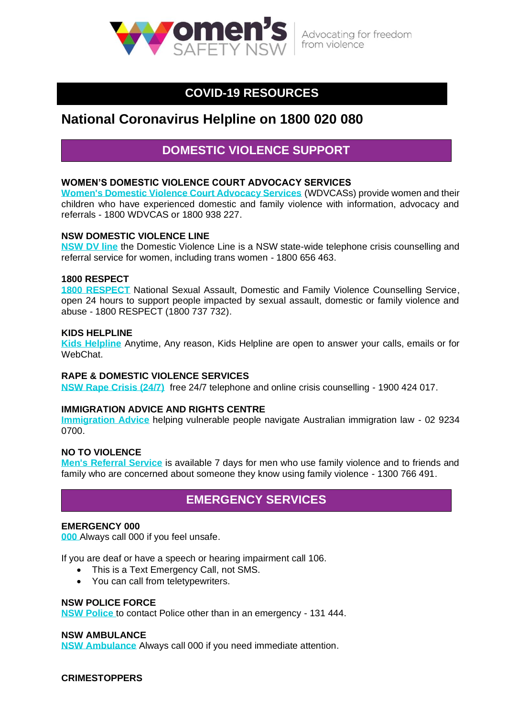

Advocating for freedom from violence

# **COVID-19 RESOURCES**

# **National Coronavirus Helpline on 1800 020 080**

# **DOMESTIC VIOLENCE SUPPORT**

# **WOMEN'S DOMESTIC VIOLENCE COURT ADVOCACY SERVICES**

**[Women's Domestic Violence Court Advocacy Services](https://www.legalaid.nsw.gov.au/what-we-do/community-partnerships/womens-domestic-violence-court-advocacy-program/womens-domestic-violence-court-advocacy-service-locations-in-nsw)** (WDVCASs) provide women and their children who have experienced domestic and family violence with information, advocacy and referrals - 1800 WDVCAS or 1800 938 227.

### **NSW DOMESTIC VIOLENCE LINE**

**[NSW DV line](https://www.facs.nsw.gov.au/domestic-violence/helpline)** the Domestic Violence Line is a NSW state-wide telephone crisis counselling and referral service for women, including trans women - 1800 656 463.

### **1800 RESPECT**

**[1800 RESPECT](https://www.1800respect.org.au/)** National Sexual Assault, Domestic and Family Violence Counselling Service, open 24 hours to support people impacted by sexual assault, domestic or family violence and abuse - 1800 RESPECT (1800 737 732).

### **KIDS HELPLINE**

**[Kids Helpline](https://kidshelpline.com.au/)** Anytime, Any reason, Kids Helpline are open to answer your calls, emails or for WebChat.

## **RAPE & DOMESTIC VIOLENCE SERVICES**

**[NSW Rape Crisis \(24/7\)](https://www.rape-dvservices.org.au/contact-us)** free 24/7 telephone and online crisis counselling - 1900 424 017.

# **IMMIGRATION ADVICE AND RIGHTS CENTRE**

**[Immigration Advice](https://iarc.asn.au/)** helping vulnerable people navigate Australian immigration law - 02 9234 0700.

# **NO TO VIOLENCE**

**[Men's Referral Service](https://www.ntv.org.au/)** is available 7 days for men who use family violence and to friends and family who are concerned about someone they know using family violence - 1300 766 491.

# **EMERGENCY SERVICES**

### **EMERGENCY 000**

**[000](https://www.triplezero.gov.au/Pages/default.aspx)** Always call 000 if you feel unsafe.

If you are deaf or have a speech or hearing impairment call 106.

- This is a Text Emergency Call, not SMS.
- You can call from teletypewriters.

## **NSW POLICE FORCE**

**[NSW Police](https://www.police.nsw.gov.au/)** to contact Police other than in an emergency - 131 444.

#### **NSW AMBULANCE**

**[NSW Ambulance](https://www.ambulance.nsw.gov.au/our-services/emergency-services)** Always call 000 if you need immediate attention.

#### **CRIMESTOPPERS**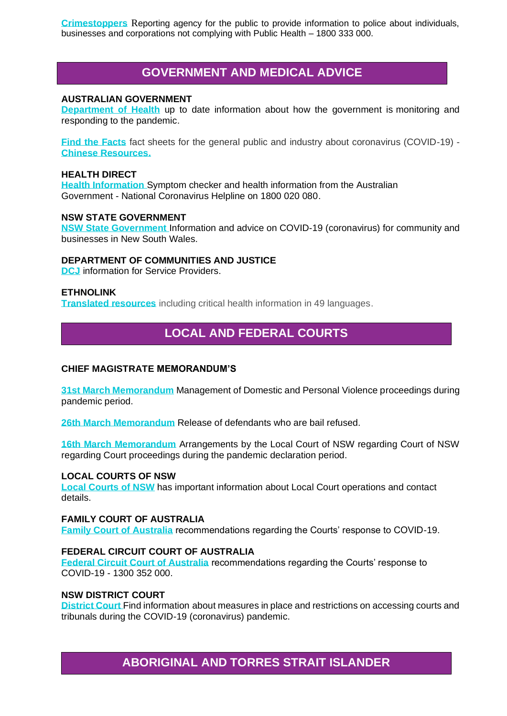**[Crimestoppers](https://nsw.crimestoppers.com.au/)** Reporting agency for the public to provide information to police about individuals, businesses and corporations not complying with Public Health  $-$  1800 333 000.

# **GOVERNMENT AND MEDICAL ADVICE**

### **AUSTRALIAN GOVERNMENT**

**[Department of Health](https://www.health.gov.au/news/health-alerts/novel-coronavirus-2019-ncov-health-alert)** up to date information about how the government is monitoring and responding to the pandemic.

**[Find the Facts](https://www.health.gov.au/resources/collections/novel-coronavirus-2019-ncov-resources#find-the-facts)** fact sheets for the general public and industry about coronavirus (COVID-19) - **[Chinese Resources.](https://www.health.gov.au/resources/collections/novel-coronavirus-2019-ncov-resources-in-simplified-chinese)**

#### **HEALTH DIRECT**

**[Health Information](https://www.healthdirect.gov.au/)** Symptom checker and health information from the Australian Government - National Coronavirus Helpline on 1800 020 080.

#### **NSW STATE GOVERNMENT**

**[NSW State Government](https://preview.nsw.gov.au/covid-19)** [Information and advice](https://preview.nsw.gov.au/covid-19) on COVID-19 (coronavirus) for community and businesses in New South Wales.

#### **DEPARTMENT OF COMMUNITIES AND JUSTICE**

**[DCJ](https://coronavirus.dcj.nsw.gov.au/services/service-providers)** information for Service Providers.

#### **ETHNOLINK**

**[Translated resources](https://www.ethnolink.com.au/covid-19-coronavirus-translated-resources/)** including critical health information in 49 languages.

# **LOCAL AND FEDERAL COURTS**

#### **CHIEF MAGISTRATE MEMORANDUM'S**

**[31st March Memorandum](https://mcusercontent.com/593be1089d59cefffba60dc9c/files/3a391505-dbe2-4ad1-a5c1-4fd9b09fe5aa/MEMORANDUM_NO.7_Management_fo_AVO_Proceedings_COVID_19_Arrangements_310320.pdf)** Management of Domestic and Personal Violence proceedings during pandemic period.

**[26th March Memorandum](https://mcusercontent.com/593be1089d59cefffba60dc9c/files/26d35546-778c-4e04-ab50-b5c99097f85d/MEMORANDUM_6_addenda.pdf)** Release of defendants who are bail refused.

**[16th March Memorandum](https://www.womenssafetynsw.org.au/wp-content/uploads/2020/03/coronavirus-court-arrangements.pdf)** Arrangements by the Local Court of NSW regarding Court of NSW regarding Court proceedings during the pandemic declaration period.

#### **LOCAL COURTS OF NSW**

**[Local Courts of NSW](http://www.localcourt.justice.nsw.gov.au/)** has important [information](http://www.localcourt.justice.nsw.gov.au/Pages/coronavirus.aspx) about Local Court operations and contact details.

#### **FAMILY COURT OF AUSTRALIA**

**[Family Court of Australia](http://www.familycourt.gov.au/wps/wcm/connect/fcoaweb/about/covid/covid-news-hp)** recommendations regarding the Courts' response to COVID-19.

#### **FEDERAL CIRCUIT COURT OF AUSTRALIA**

**[Federal Circuit Court of Australia](http://www.federalcircuitcourt.gov.au/wps/wcm/connect/fccweb/about/covid/covid-news-hp)** recommendations regarding the Courts' response to COVID-19 - 1300 352 000.

#### **NSW DISTRICT COURT**

**[District Court](http://www.districtcourt.justice.nsw.gov.au/)** [Find information](https://coronavirus.dcj.nsw.gov.au/services/courts-tribunals-and-legal-services) about measures in place and restrictions on accessing courts and tribunals during the COVID-19 (coronavirus) pandemic.

**ABORIGINAL AND TORRES STRAIT ISLANDER**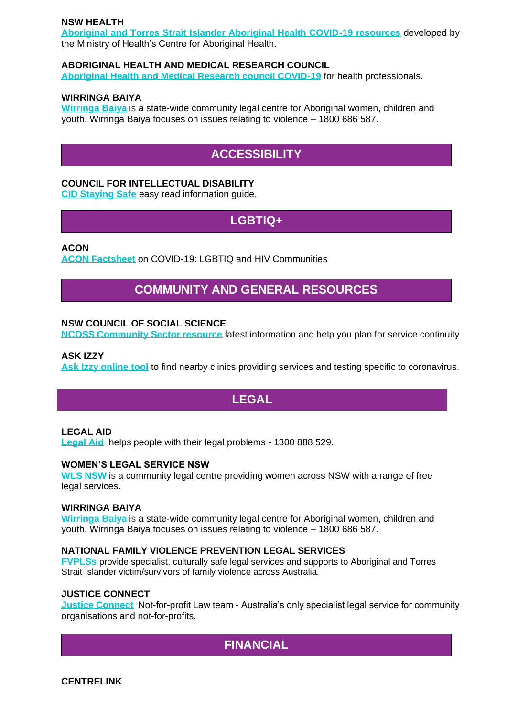#### **NSW HEALTH**

**[Aboriginal and Torres Strait Islander Aboriginal Health COVID-19 resources](https://www.health.nsw.gov.au/Infectious/diseases/Pages/covid-19-resources.aspx#Aboriginal)** developed by the Ministry of Health's Centre for Aboriginal Health.

### **ABORIGINAL HEALTH AND MEDICAL RESEARCH COUNCIL**

**[Aboriginal Health and Medical Research council COVID-19](https://www.ahmrc.org.au/coronavirus/)** for health professionals.

#### **WIRRINGA BAIYA**

**[Wirringa Baiya](http://www.wirringabaiya.org.au/)** is a state-wide community legal centre for Aboriginal women, children and youth. Wirringa Baiya focuses on issues relating to violence – 1800 686 587.

# **ACCESSIBILITY**

## **COUNCIL FOR INTELLECTUAL DISABILITY**

**[CID Staying Safe](https://cid.org.au/resource/staying-safe-from-coronavirus/)** easy read information guide.

# **LGBTIQ+ ACCESSIBILITY**

**ACON**

**[ACON Factsheet](https://www.dvnsw.org.au/wp-content/uploads/2020/03/Fact-Sheet-COVID-19-9-March-2020_ACON-003.pdf)** on COVID-19: LGBTIQ and HIV Communities

# **COMMUNITY AND GENERAL RESOURCES**

#### **NSW COUNCIL OF SOCIAL SCIENCE**

**[NCOSS Community Sector resource](https://www.ncoss.org.au/capacity-building/sector-support/templates-and-resources/covid-19-community-sector-resource)** latest information and help you plan for service continuity

#### **ASK IZZY**

**[Ask Izzy online tool](https://askizzy.org.au/)** to [find nearby clinics](https://askizzy.org.au/search/coronavirus/personalise) providing services and testing specific to coronavirus.

# **LEGAL**

#### **LEGAL AID**

**[Legal Aid](https://www.legalaid.nsw.gov.au/)** helps people with their legal problems - 1300 888 529.

## **WOMEN'S LEGAL SERVICE NSW**

**[WLS NSW](https://www.wlsnsw.org.au/)** is a community legal centre providing women across NSW with a range of free legal services.

## **WIRRINGA BAIYA**

**[Wirringa Baiya](http://www.wirringabaiya.org.au/)** is a state-wide community legal centre for Aboriginal women, children and youth. Wirringa Baiya focuses on issues relating to violence – 1800 686 587.

#### **NATIONAL FAMILY VIOLENCE PREVENTION LEGAL SERVICES**

**[FVPLSs](https://www.nationalfvpls.org/)** provide specialist, culturally safe legal services and supports to Aboriginal and Torres Strait Islander victim/survivors of family violence across Australia.

#### **JUSTICE CONNECT**

**[Justice Connect](https://justiceconnect.org.au/help/)** Not-for-profit Law team - Australia's only specialist legal service for community organisations and not-for-profits.

**FINANCIAL**

**CENTRELINK**